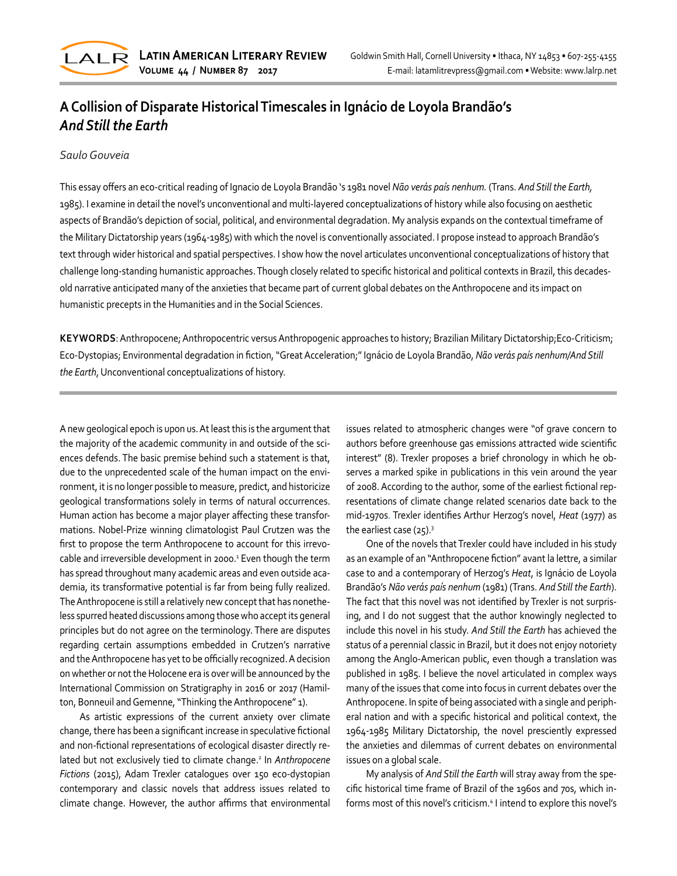

# **A Collision of Disparate Historical Timescales in Ignácio de Loyola Brandão's** *And Still the Earth*

# *Saulo Gouveia*

This essay offers an eco-critical reading of Ignacio de Loyola Brandão 's 1981 novel *Não verás país nenhum.* (Trans. *And Still the Earth,*  1985). I examine in detail the novel's unconventional and multi-layered conceptualizations of history while also focusing on aesthetic aspects of Brandão's depiction of social, political, and environmental degradation. My analysis expands on the contextual timeframe of the Military Dictatorship years (1964-1985) with which the novel is conventionally associated. I propose instead to approach Brandão's text through wider historical and spatial perspectives. I show how the novel articulates unconventional conceptualizations of history that challenge long-standing humanistic approaches. Though closely related to specific historical and political contexts in Brazil, this decadesold narrative anticipated many of the anxieties that became part of current global debates on the Anthropocene and its impact on humanistic precepts in the Humanities and in the Social Sciences.

**KEYWORDS**: Anthropocene; Anthropocentric versus Anthropogenic approaches to history; Brazilian Military Dictatorship;Eco-Criticism; Eco-Dystopias; Environmental degradation in fiction, "Great Acceleration;" Ignácio de Loyola Brandão, *Não verás país nenhum/And Still the Earth*, Unconventional conceptualizations of history.

A new geological epoch is upon us. At least this is the argument that the majority of the academic community in and outside of the sci‐ ences defends. The basic premise behind such a statement is that, due to the unprecedented scale of the human impact on the envi‐ ronment, it is no longer possible to measure, predict, and historicize geological transformations solely in terms of natural occurrences. Human action has become a major player affecting these transfor‐ mations. Nobel-Prize winning climatologist Paul Crutzen was the first to propose the term Anthropocene to account for this irrevocable and irreversible development in 2000.<sup>1</sup> Even though the term has spread throughout many academic areas and even outside academia, its transformative potential is far from being fully realized. The Anthropocene is still a relatively new concept that has nonethe‐ less spurred heated discussions among those who accept its general principles but do not agree on the terminology. There are disputes regarding certain assumptions embedded in Crutzen's narrative and the Anthropocene has yet to be officially recognized. A decision on whether or not the Holocene era is over will be announced by the International Commission on Stratigraphy in 2016 or 2017 (Hamil‐ ton, Bonneuil and Gemenne, "Thinking the Anthropocene" 1).

As artistic expressions of the current anxiety over climate change, there has been a significant increase in speculative fictional and non-fictional representations of ecological disaster directly re‐ lated but not exclusively tied to climate change.<sup>2</sup> In Anthropocene *Fictions* (2015), Adam Trexler catalogues over 150 eco-dystopian contemporary and classic novels that address issues related to climate change. However, the author affirms that environmental

issues related to atmospheric changes were "of grave concern to authors before greenhouse gas emissions attracted wide scientific interest" (8). Trexler proposes a brief chronology in which he observes a marked spike in publications in this vein around the year of 2008. According to the author, some of the earliest fictional rep‐ resentations of climate change related scenarios date back to the mid-1970s. Trexler identifies Arthur Herzog's novel, *Heat* (1977) as the earliest case (25).<sup>3</sup>

One of the novels that Trexler could have included in his study as an example of an "Anthropocene fiction" avant la lettre, a similar case to and a contemporary of Herzog's *Heat*, is Ignácio de Loyola Brandão's *Não verás país nenhum* (1981) (Trans. *And Still the Earth*). The fact that this novel was not identified by Trexler is not surpris‐ ing, and I do not suggest that the author knowingly neglected to include this novel in his study. *And Still the Earth* has achieved the status of a perennial classic in Brazil, but it does not enjoy notoriety among the Anglo-American public, even though a translation was published in 1985. I believe the novel articulated in complex ways many of the issues that come into focus in current debates over the Anthropocene. In spite of being associated with a single and periph‐ eral nation and with a specific historical and political context, the 1964-1985 Military Dictatorship, the novel presciently expressed the anxieties and dilemmas of current debates on environmental issues on a global scale.

My analysis of *And Still the Earth* will stray away from the spe‐ cific historical time frame of Brazil of the 1960s and 70s, which in‐ forms most of this novel's criticism.4 I intend to explore this novel's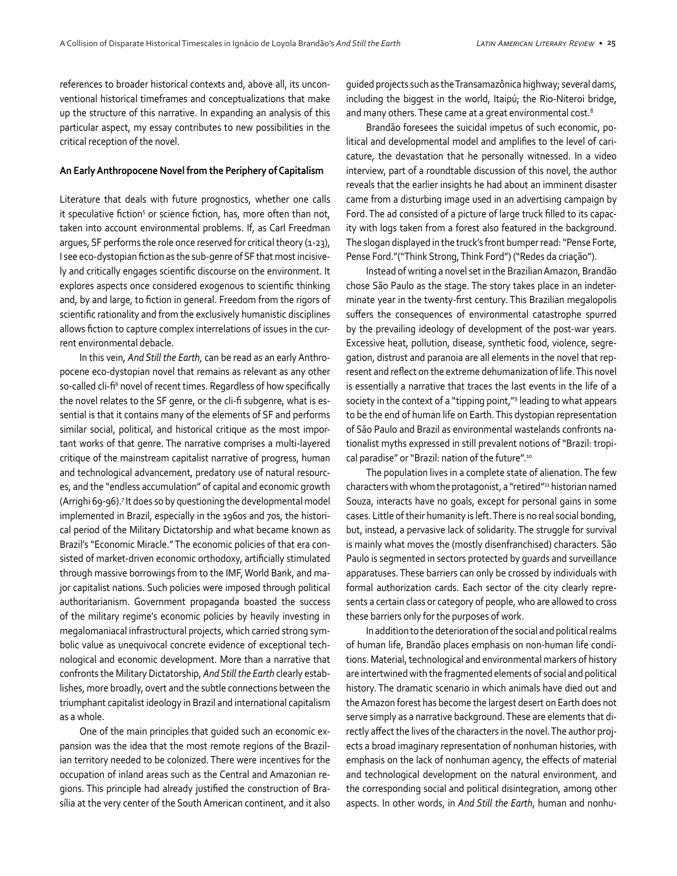references to broader historical contexts and, above all, its uncon‐ ventional historical timeframes and conceptualizations that make up the structure of this narrative. In expanding an analysis of this particular aspect, my essay contributes to new possibilities in the critical reception of the novel.

#### **An Early Anthropocene Novel from the Periphery of Capitalism**

Literature that deals with future prognostics, whether one calls it speculative fiction<sup>5</sup> or science fiction, has, more often than not, taken into account environmental problems. If, as Carl Freedman argues, SF performs the role once reserved for critical theory (1-23), I see eco-dystopian fiction as the sub-genre of SF that most incisive‐ ly and critically engages scientific discourse on the environment. It explores aspects once considered exogenous to scientific thinking and, by and large, to fiction in general. Freedom from the rigors of scientific rationality and from the exclusively humanistic disciplines allows fiction to capture complex interrelations of issues in the cur‐ rent environmental debacle.

In this vein, *And Still the Earth,* can be read as an early Anthro‐ pocene eco-dystopian novel that remains as relevant as any other so-called cli-fi<sup>6</sup> novel of recent times. Regardless of how specifically the novel relates to the SF genre, or the cli-fi subgenre, what is es‐ sential is that it contains many of the elements of SF and performs similar social, political, and historical critique as the most important works of that genre. The narrative comprises a multi-layered critique of the mainstream capitalist narrative of progress, human and technological advancement, predatory use of natural resources, and the "endless accumulation" of capital and economic growth (Arrighi 69-96).7 It does so by questioning the developmental model implemented in Brazil, especially in the 1960s and 70s, the historical period of the Military Dictatorship and what became known as Brazil's "Economic Miracle." The economic policies of that era con‐ sisted of market-driven economic orthodoxy, artificially stimulated through massive borrowings from to the IMF, World Bank, and ma‐ jor capitalist nations. Such policies were imposed through political authoritarianism. Government propaganda boasted the success of the military regime's economic policies by heavily investing in megalomaniacal infrastructural projects, which carried strong sym‐ bolic value as unequivocal concrete evidence of exceptional tech‐ nological and economic development. More than a narrative that confronts the Military Dictatorship, *And Still the Earth* clearly estab‐ lishes, more broadly, overt and the subtle connections between the triumphant capitalist ideology in Brazil and international capitalism as a whole.

One of the main principles that guided such an economic ex‐ pansion was the idea that the most remote regions of the Brazil‐ ian territory needed to be colonized. There were incentives for the occupation of inland areas such as the Central and Amazonian re‐ gions. This principle had already justified the construction of Bra‐ sília at the very center of the South American continent, and it also

guided projects such as the Transamazônica highway; several dams, including the biggest in the world, Itaipú; the Rio-Niteroi bridge, and many others. These came at a great environmental cost.<sup>8</sup>

Brandão foresees the suicidal impetus of such economic, po‐ litical and developmental model and amplifies to the level of cari‐ cature, the devastation that he personally witnessed. In a video interview, part of a roundtable discussion of this novel, the author reveals that the earlier insights he had about an imminent disaster came from a disturbing image used in an advertising campaign by Ford. The ad consisted of a picture of large truck filled to its capac‐ ity with logs taken from a forest also featured in the background. The slogan displayed in the truck's front bumper read: "Pense Forte, Pense Ford."("Think Strong, Think Ford") ("Redes da criação").

Instead of writing a novel set in the Brazilian Amazon, Brandão chose São Paulo as the stage. The story takes place in an indeter‐ minate year in the twenty-first century. This Brazilian megalopolis suffers the consequences of environmental catastrophe spurred by the prevailing ideology of development of the post-war years. Excessive heat, pollution, disease, synthetic food, violence, segre‐ gation, distrust and paranoia are all elements in the novel that rep‐ resent and reflect on the extreme dehumanization of life. This novel is essentially a narrative that traces the last events in the life of a society in the context of a "tipping point,"<sup>9</sup> leading to what appears to be the end of human life on Earth. This dystopian representation of São Paulo and Brazil as environmental wastelands confronts na‐ tionalist myths expressed in still prevalent notions of "Brazil: tropi‐ cal paradise" or "Brazil: nation of the future".10

The population lives in a complete state of alienation. The few characters with whom the protagonist, a "retired"<sup>11</sup> historian named Souza, interacts have no goals, except for personal gains in some cases. Little of their humanity is left. There is no real social bonding, but, instead, a pervasive lack of solidarity. The struggle for survival is mainly what moves the (mostly disenfranchised) characters. São Paulo is segmented in sectors protected by guards and surveillance apparatuses. These barriers can only be crossed by individuals with formal authorization cards. Each sector of the city clearly repre‐ sents a certain class or category of people, who are allowed to cross these barriers only for the purposes of work.

In addition to the deterioration of the social and political realms of human life, Brandão places emphasis on non-human life condi‐ tions. Material, technological and environmental markers of history are intertwined with the fragmented elements of social and political history. The dramatic scenario in which animals have died out and the Amazon forest has become the largest desert on Earth does not serve simply as a narrative background. These are elements that di‐ rectly affect the lives of the characters in the novel. The author proj‐ ects a broad imaginary representation of nonhuman histories, with emphasis on the lack of nonhuman agency, the effects of material and technological development on the natural environment, and the corresponding social and political disintegration, among other aspects. In other words, in *And Still the Earth*, human and nonhu‐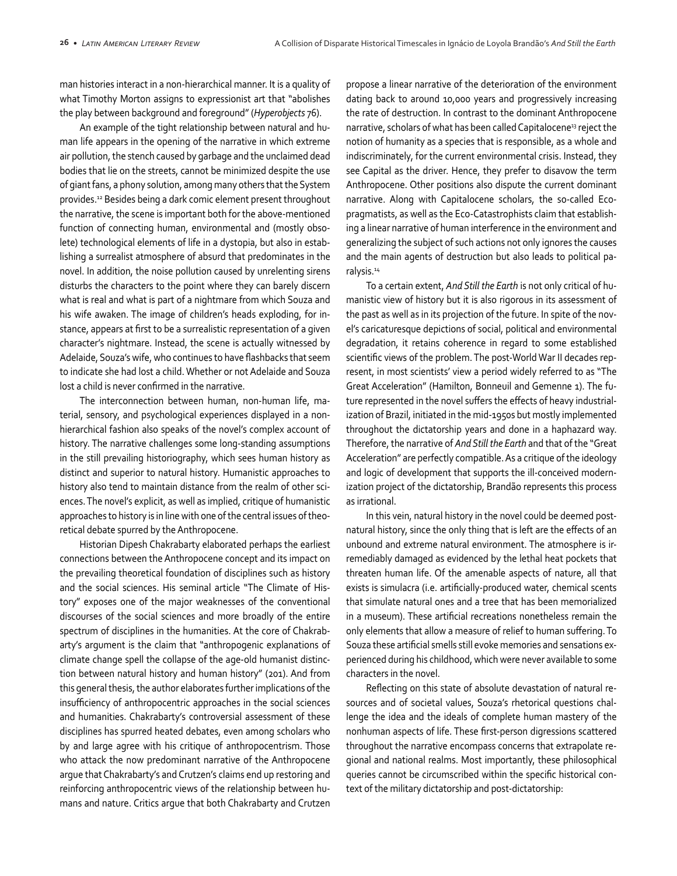man histories interact in a non-hierarchical manner. It is a quality of what Timothy Morton assigns to expressionist art that "abolishes the play between background and foreground" (*Hyperobjects* 76).

An example of the tight relationship between natural and hu‐ man life appears in the opening of the narrative in which extreme air pollution, the stench caused by garbage and the unclaimed dead bodies that lie on the streets, cannot be minimized despite the use of giant fans, a phony solution, among many others that the System provides.12 Besides being a dark comic element present throughout the narrative, the scene is important both for the above-mentioned function of connecting human, environmental and (mostly obsolete) technological elements of life in a dystopia, but also in establishing a surrealist atmosphere of absurd that predominates in the novel. In addition, the noise pollution caused by unrelenting sirens disturbs the characters to the point where they can barely discern what is real and what is part of a nightmare from which Souza and his wife awaken. The image of children's heads exploding, for in‐ stance, appears at first to be a surrealistic representation of a given character's nightmare. Instead, the scene is actually witnessed by Adelaide, Souza's wife, who continues to have flashbacks that seem to indicate she had lost a child. Whether or not Adelaide and Souza lost a child is never confirmed in the narrative.

The interconnection between human, non-human life, ma‐ terial, sensory, and psychological experiences displayed in a nonhierarchical fashion also speaks of the novel's complex account of history. The narrative challenges some long-standing assumptions in the still prevailing historiography, which sees human history as distinct and superior to natural history. Humanistic approaches to history also tend to maintain distance from the realm of other sciences. The novel's explicit, as well as implied, critique of humanistic approaches to history is in line with one of the central issues of theoretical debate spurred by the Anthropocene.

Historian Dipesh Chakrabarty elaborated perhaps the earliest connections between the Anthropocene concept and its impact on the prevailing theoretical foundation of disciplines such as history and the social sciences. His seminal article "The Climate of His‐ tory" exposes one of the major weaknesses of the conventional discourses of the social sciences and more broadly of the entire spectrum of disciplines in the humanities. At the core of Chakrabarty's argument is the claim that "anthropogenic explanations of climate change spell the collapse of the age-old humanist distinc‐ tion between natural history and human history" (201). And from this general thesis, the author elaborates further implications of the insufficiency of anthropocentric approaches in the social sciences and humanities. Chakrabarty's controversial assessment of these disciplines has spurred heated debates, even among scholars who by and large agree with his critique of anthropocentrism. Those who attack the now predominant narrative of the Anthropocene argue that Chakrabarty's and Crutzen's claims end up restoring and reinforcing anthropocentric views of the relationship between hu‐ mans and nature. Critics argue that both Chakrabarty and Crutzen

propose a linear narrative of the deterioration of the environment dating back to around 10,000 years and progressively increasing the rate of destruction. In contrast to the dominant Anthropocene narrative, scholars of what has been called Capitalocene<sup>13</sup> reject the notion of humanity as a species that is responsible, as a whole and indiscriminately, for the current environmental crisis. Instead, they see Capital as the driver. Hence, they prefer to disavow the term Anthropocene. Other positions also dispute the current dominant narrative. Along with Capitalocene scholars, the so-called Ecopragmatists, as well as the Eco-Catastrophists claim that establish‐ ing a linear narrative of human interference in the environment and generalizing the subject of such actions not only ignores the causes and the main agents of destruction but also leads to political pa‐ ralysis.14

To a certain extent, *And Still the Earth* is not only critical of hu‐ manistic view of history but it is also rigorous in its assessment of the past as well as in its projection of the future. In spite of the nov‐ el's caricaturesque depictions of social, political and environmental degradation, it retains coherence in regard to some established scientific views of the problem. The post-World War II decades rep‐ resent, in most scientists' view a period widely referred to as "The Great Acceleration" (Hamilton, Bonneuil and Gemenne 1). The fu‐ ture represented in the novel suffers the effects of heavy industrial‐ ization of Brazil, initiated in the mid-1950s but mostly implemented throughout the dictatorship years and done in a haphazard way. Therefore, the narrative of *And Still the Earth* and that of the "Great Acceleration" are perfectly compatible. As a critique of the ideology and logic of development that supports the ill-conceived modern‐ ization project of the dictatorship, Brandão represents this process as irrational.

In this vein, natural history in the novel could be deemed postnatural history, since the only thing that is left are the effects of an unbound and extreme natural environment. The atmosphere is ir‐ remediably damaged as evidenced by the lethal heat pockets that threaten human life. Of the amenable aspects of nature, all that exists is simulacra (i.e. artificially-produced water, chemical scents that simulate natural ones and a tree that has been memorialized in a museum). These artificial recreations nonetheless remain the only elements that allow a measure of relief to human suffering. To Souza these artificial smells still evoke memories and sensations ex‐ perienced during his childhood, which were never available to some characters in the novel.

Reflecting on this state of absolute devastation of natural re‐ sources and of societal values, Souza's rhetorical questions challenge the idea and the ideals of complete human mastery of the nonhuman aspects of life. These first-person digressions scattered throughout the narrative encompass concerns that extrapolate re‐ gional and national realms. Most importantly, these philosophical queries cannot be circumscribed within the specific historical con‐ text of the military dictatorship and post-dictatorship: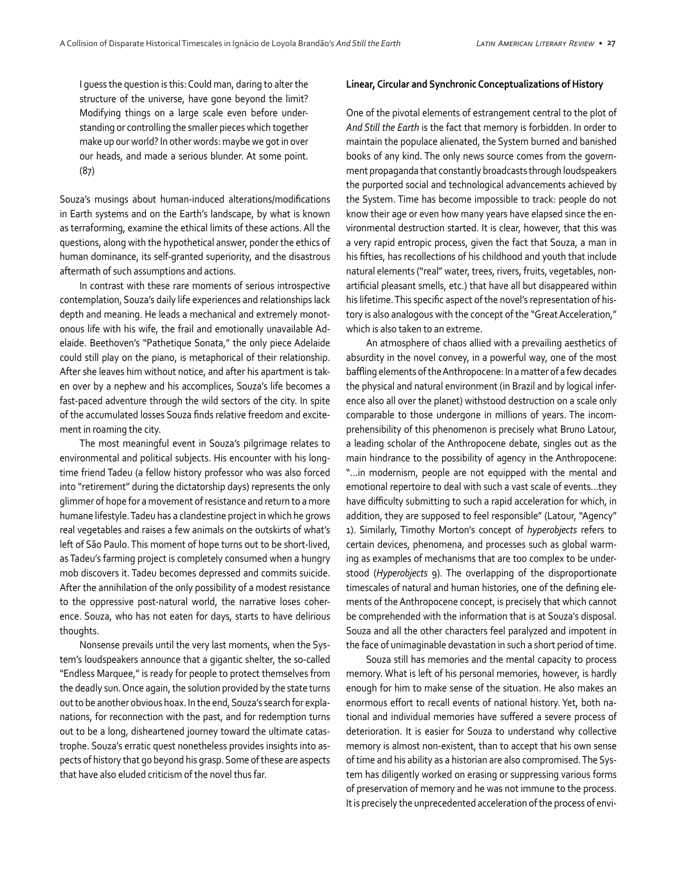I guess the question is this: Could man, daring to alter the structure of the universe, have gone beyond the limit? Modifying things on a large scale even before under‐ standing or controlling the smaller pieces which together make up our world? In other words: maybe we got in over our heads, and made a serious blunder. At some point. (87)

Souza's musings about human-induced alterations/modifications in Earth systems and on the Earth's landscape, by what is known as terraforming, examine the ethical limits of these actions. All the questions, along with the hypothetical answer, ponder the ethics of human dominance, its self-granted superiority, and the disastrous aftermath of such assumptions and actions.

In contrast with these rare moments of serious introspective contemplation, Souza's daily life experiences and relationships lack depth and meaning. He leads a mechanical and extremely monot‐ onous life with his wife, the frail and emotionally unavailable Ad‐ elaide. Beethoven's "Pathetique Sonata," the only piece Adelaide could still play on the piano, is metaphorical of their relationship. After she leaves him without notice, and after his apartment is tak‐ en over by a nephew and his accomplices, Souza's life becomes a fast-paced adventure through the wild sectors of the city. In spite of the accumulated losses Souza finds relative freedom and excite‐ ment in roaming the city.

The most meaningful event in Souza's pilgrimage relates to environmental and political subjects. His encounter with his longtime friend Tadeu (a fellow history professor who was also forced into "retirement" during the dictatorship days) represents the only glimmer of hope for a movement of resistance and return to a more humane lifestyle. Tadeu has a clandestine project in which he grows real vegetables and raises a few animals on the outskirts of what's left of São Paulo. This moment of hope turns out to be short-lived, as Tadeu's farming project is completely consumed when a hungry mob discovers it. Tadeu becomes depressed and commits suicide. After the annihilation of the only possibility of a modest resistance to the oppressive post-natural world, the narrative loses coher‐ ence. Souza, who has not eaten for days, starts to have delirious thoughts.

Nonsense prevails until the very last moments, when the Sys‐ tem's loudspeakers announce that a gigantic shelter, the so-called "Endless Marquee," is ready for people to protect themselves from the deadly sun. Once again, the solution provided by the state turns out to be another obvious hoax. In the end, Souza's search for expla‐ nations, for reconnection with the past, and for redemption turns out to be a long, disheartened journey toward the ultimate catas‐ trophe. Souza's erratic quest nonetheless provides insights into as‐ pects of history that go beyond his grasp. Some of these are aspects that have also eluded criticism of the novel thus far.

#### **Linear, Circular and Synchronic Conceptualizations of History**

One of the pivotal elements of estrangement central to the plot of *And Still the Earth* is the fact that memory is forbidden. In order to maintain the populace alienated, the System burned and banished books of any kind. The only news source comes from the govern‐ ment propaganda that constantly broadcasts through loudspeakers the purported social and technological advancements achieved by the System. Time has become impossible to track: people do not know their age or even how many years have elapsed since the en‐ vironmental destruction started. It is clear, however, that this was a very rapid entropic process, given the fact that Souza, a man in his fifties, has recollections of his childhood and youth that include natural elements ("real" water, trees, rivers, fruits, vegetables, nonartificial pleasant smells, etc.) that have all but disappeared within his lifetime. This specific aspect of the novel's representation of history is also analogous with the concept of the "Great Acceleration," which is also taken to an extreme.

An atmosphere of chaos allied with a prevailing aesthetics of absurdity in the novel convey, in a powerful way, one of the most baffling elements of the Anthropocene: In a matter of a few decades the physical and natural environment (in Brazil and by logical infer‐ ence also all over the planet) withstood destruction on a scale only comparable to those undergone in millions of years. The incom‐ prehensibility of this phenomenon is precisely what Bruno Latour, a leading scholar of the Anthropocene debate, singles out as the main hindrance to the possibility of agency in the Anthropocene: "…in modernism, people are not equipped with the mental and emotional repertoire to deal with such a vast scale of events…they have difficulty submitting to such a rapid acceleration for which, in addition, they are supposed to feel responsible" (Latour, "Agency" 1). Similarly, Timothy Morton's concept of *hyperobjects* refers to certain devices, phenomena, and processes such as global warm‐ ing as examples of mechanisms that are too complex to be under‐ stood (*Hyperobjects* 9). The overlapping of the disproportionate timescales of natural and human histories, one of the defining ele‐ ments of the Anthropocene concept, is precisely that which cannot be comprehended with the information that is at Souza's disposal. Souza and all the other characters feel paralyzed and impotent in the face of unimaginable devastation in such a short period of time.

Souza still has memories and the mental capacity to process memory. What is left of his personal memories, however, is hardly enough for him to make sense of the situation. He also makes an enormous effort to recall events of national history. Yet, both na‐ tional and individual memories have suffered a severe process of deterioration. It is easier for Souza to understand why collective memory is almost non-existent, than to accept that his own sense of time and his ability as a historian are also compromised. The Sys‐ tem has diligently worked on erasing or suppressing various forms of preservation of memory and he was not immune to the process. It is precisely the unprecedented acceleration of the process of envi‐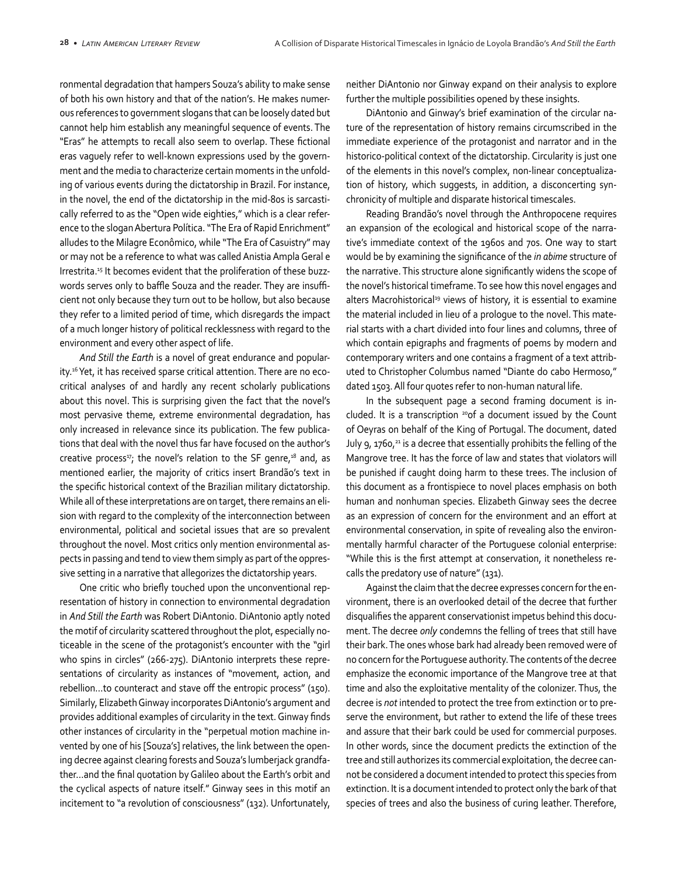ronmental degradation that hampers Souza's ability to make sense of both his own history and that of the nation's. He makes numer‐ ous references to government slogans that can be loosely dated but cannot help him establish any meaningful sequence of events. The "Eras" he attempts to recall also seem to overlap. These fictional eras vaguely refer to well-known expressions used by the govern‐ ment and the media to characterize certain moments in the unfold‐ ing of various events during the dictatorship in Brazil. For instance, in the novel, the end of the dictatorship in the mid-80s is sarcasti‐ cally referred to as the "Open wide eighties," which is a clear refer‐ ence to the slogan Abertura Política. "The Era of Rapid Enrichment" alludes to the Milagre Econômico, while "The Era of Casuistry" may or may not be a reference to what was called Anistia Ampla Geral e Irrestrita.<sup>15</sup> It becomes evident that the proliferation of these buzzwords serves only to baffle Souza and the reader. They are insuffi‐ cient not only because they turn out to be hollow, but also because they refer to a limited period of time, which disregards the impact of a much longer history of political recklessness with regard to the environment and every other aspect of life.

*And Still the Earth* is a novel of great endurance and popular‐ ity.16 Yet, it has received sparse critical attention. There are no ecocritical analyses of and hardly any recent scholarly publications about this novel. This is surprising given the fact that the novel's most pervasive theme, extreme environmental degradation, has only increased in relevance since its publication. The few publications that deal with the novel thus far have focused on the author's creative process<sup>17</sup>; the novel's relation to the SF genre,<sup>18</sup> and, as mentioned earlier, the majority of critics insert Brandão's text in the specific historical context of the Brazilian military dictatorship. While all of these interpretations are on target, there remains an elision with regard to the complexity of the interconnection between environmental, political and societal issues that are so prevalent throughout the novel. Most critics only mention environmental as‐ pects in passing and tend to view them simply as part of the oppres‐ sive setting in a narrative that allegorizes the dictatorship years.

One critic who briefly touched upon the unconventional rep‐ resentation of history in connection to environmental degradation in *And Still the Earth* was Robert DiAntonio. DiAntonio aptly noted the motif of circularity scattered throughout the plot, especially no‐ ticeable in the scene of the protagonist's encounter with the "girl who spins in circles" (266-275). DiAntonio interprets these representations of circularity as instances of "movement, action, and rebellion…to counteract and stave off the entropic process" (150). Similarly, Elizabeth Ginway incorporates DiAntonio's argument and provides additional examples of circularity in the text. Ginway finds other instances of circularity in the "perpetual motion machine in‐ vented by one of his [Souza's] relatives, the link between the open‐ ing decree against clearing forests and Souza's lumberjack grandfa‐ ther…and the final quotation by Galileo about the Earth's orbit and the cyclical aspects of nature itself." Ginway sees in this motif an incitement to "a revolution of consciousness" (132). Unfortunately,

neither DiAntonio nor Ginway expand on their analysis to explore further the multiple possibilities opened by these insights.

DiAntonio and Ginway's brief examination of the circular na‐ ture of the representation of history remains circumscribed in the immediate experience of the protagonist and narrator and in the historico-political context of the dictatorship. Circularity is just one of the elements in this novel's complex, non-linear conceptualiza‐ tion of history, which suggests, in addition, a disconcerting syn‐ chronicity of multiple and disparate historical timescales.

Reading Brandão's novel through the Anthropocene requires an expansion of the ecological and historical scope of the narrative's immediate context of the 1960s and 70s. One way to start would be by examining the significance of the *in abime* structure of the narrative. This structure alone significantly widens the scope of the novel's historical timeframe. To see how this novel engages and alters Macrohistorical<sup>19</sup> views of history, it is essential to examine the material included in lieu of a prologue to the novel. This mate‐ rial starts with a chart divided into four lines and columns, three of which contain epigraphs and fragments of poems by modern and contemporary writers and one contains a fragment of a text attrib‐ uted to Christopher Columbus named "Diante do cabo Hermoso," dated 1503. All four quotes refer to non-human natural life.

In the subsequent page a second framing document is in‐ cluded. It is a transcription  $20$  of a document issued by the Count of Oeyras on behalf of the King of Portugal. The document, dated July 9, 1760,<sup>21</sup> is a decree that essentially prohibits the felling of the Mangrove tree. It has the force of law and states that violators will be punished if caught doing harm to these trees. The inclusion of this document as a frontispiece to novel places emphasis on both human and nonhuman species. Elizabeth Ginway sees the decree as an expression of concern for the environment and an effort at environmental conservation, in spite of revealing also the environ‐ mentally harmful character of the Portuguese colonial enterprise: "While this is the first attempt at conservation, it nonetheless re‐ calls the predatory use of nature" (131).

Against the claim that the decree expresses concern for the en‐ vironment, there is an overlooked detail of the decree that further disqualifies the apparent conservationist impetus behind this docu‐ ment. The decree *only* condemns the felling of trees that still have their bark. The ones whose bark had already been removed were of no concern for the Portuguese authority. The contents of the decree emphasize the economic importance of the Mangrove tree at that time and also the exploitative mentality of the colonizer. Thus, the decree is *not* intended to protect the tree from extinction or to pre‐ serve the environment, but rather to extend the life of these trees and assure that their bark could be used for commercial purposes. In other words, since the document predicts the extinction of the tree and still authorizes its commercial exploitation, the decree can‐ not be considered a document intended to protect this species from extinction. It is a document intended to protect only the bark of that species of trees and also the business of curing leather. Therefore,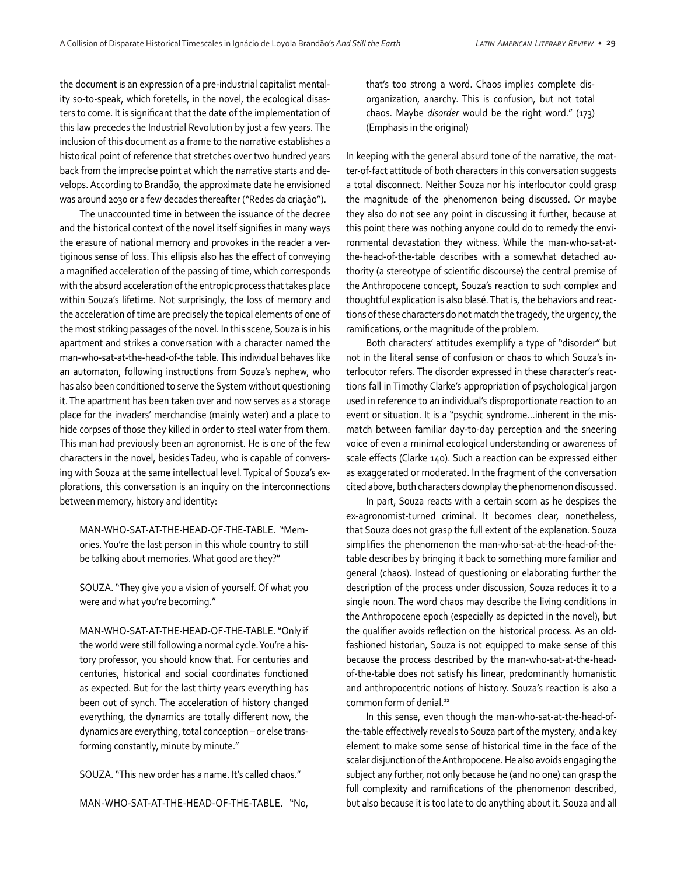the document is an expression of a pre-industrial capitalist mental‐ ity so-to-speak, which foretells, in the novel, the ecological disas‐ ters to come. It is significant that the date of the implementation of this law precedes the Industrial Revolution by just a few years. The inclusion of this document as a frame to the narrative establishes a historical point of reference that stretches over two hundred years back from the imprecise point at which the narrative starts and de‐ velops. According to Brandão, the approximate date he envisioned was around 2030 or a few decades thereafter ("Redes da criação").

The unaccounted time in between the issuance of the decree and the historical context of the novel itself signifies in many ways the erasure of national memory and provokes in the reader a ver‐ tiginous sense of loss. This ellipsis also has the effect of conveying a magnified acceleration of the passing of time, which corresponds with the absurd acceleration of the entropic process that takes place within Souza's lifetime. Not surprisingly, the loss of memory and the acceleration of time are precisely the topical elements of one of the most striking passages of the novel. In this scene, Souza is in his apartment and strikes a conversation with a character named the man-who-sat-at-the-head-of-the table. This individual behaves like an automaton, following instructions from Souza's nephew, who has also been conditioned to serve the System without questioning it. The apartment has been taken over and now serves as a storage place for the invaders' merchandise (mainly water) and a place to hide corpses of those they killed in order to steal water from them. This man had previously been an agronomist. He is one of the few characters in the novel, besides Tadeu, who is capable of convers‐ ing with Souza at the same intellectual level. Typical of Souza's ex‐ plorations, this conversation is an inquiry on the interconnections between memory, history and identity:

MAN-WHO-SAT-AT-THE-HEAD-OF-THE-TABLE. "Mem‐ ories. You're the last person in this whole country to still be talking about memories. What good are they?"

SOUZA. "They give you a vision of yourself. Of what you were and what you're becoming."

MAN-WHO-SAT-AT-THE-HEAD-OF-THE-TABLE. "Only if the world were still following a normal cycle. You're a his‐ tory professor, you should know that. For centuries and centuries, historical and social coordinates functioned as expected. But for the last thirty years everything has been out of synch. The acceleration of history changed everything, the dynamics are totally different now, the dynamics are everything, total conception – or else trans‐ forming constantly, minute by minute."

SOUZA. "This new order has a name. It's called chaos."

MAN-WHO-SAT-AT-THE-HEAD-OF-THE-TABLE. "No,

that's too strong a word. Chaos implies complete dis‐ organization, anarchy. This is confusion, but not total chaos. Maybe *disorder* would be the right word." (173) (Emphasis in the original)

In keeping with the general absurd tone of the narrative, the mat‐ ter-of-fact attitude of both characters in this conversation suggests a total disconnect. Neither Souza nor his interlocutor could grasp the magnitude of the phenomenon being discussed. Or maybe they also do not see any point in discussing it further, because at this point there was nothing anyone could do to remedy the envi‐ ronmental devastation they witness. While the man-who-sat-atthe-head-of-the-table describes with a somewhat detached au‐ thority (a stereotype of scientific discourse) the central premise of the Anthropocene concept, Souza's reaction to such complex and thoughtful explication is also blasé. That is, the behaviors and reac‐ tions of these characters do not match the tragedy, the urgency, the ramifications, or the magnitude of the problem.

Both characters' attitudes exemplify a type of "disorder" but not in the literal sense of confusion or chaos to which Souza's in‐ terlocutor refers. The disorder expressed in these character's reac‐ tions fall in Timothy Clarke's appropriation of psychological jargon used in reference to an individual's disproportionate reaction to an event or situation. It is a "psychic syndrome…inherent in the mis‐ match between familiar day-to-day perception and the sneering voice of even a minimal ecological understanding or awareness of scale effects (Clarke 140). Such a reaction can be expressed either as exaggerated or moderated. In the fragment of the conversation cited above, both characters downplay the phenomenon discussed.

In part, Souza reacts with a certain scorn as he despises the ex-agronomist-turned criminal. It becomes clear, nonetheless, that Souza does not grasp the full extent of the explanation. Souza simplifies the phenomenon the man-who-sat-at-the-head-of-thetable describes by bringing it back to something more familiar and general (chaos). Instead of questioning or elaborating further the description of the process under discussion, Souza reduces it to a single noun. The word chaos may describe the living conditions in the Anthropocene epoch (especially as depicted in the novel), but the qualifier avoids reflection on the historical process. As an oldfashioned historian, Souza is not equipped to make sense of this because the process described by the man-who-sat-at-the-headof-the-table does not satisfy his linear, predominantly humanistic and anthropocentric notions of history. Souza's reaction is also a common form of denial.<sup>22</sup>

In this sense, even though the man-who-sat-at-the-head-ofthe-table effectively reveals to Souza part of the mystery, and a key element to make some sense of historical time in the face of the scalar disjunction of the Anthropocene. He also avoids engaging the subject any further, not only because he (and no one) can grasp the full complexity and ramifications of the phenomenon described, but also because it is too late to do anything about it. Souza and all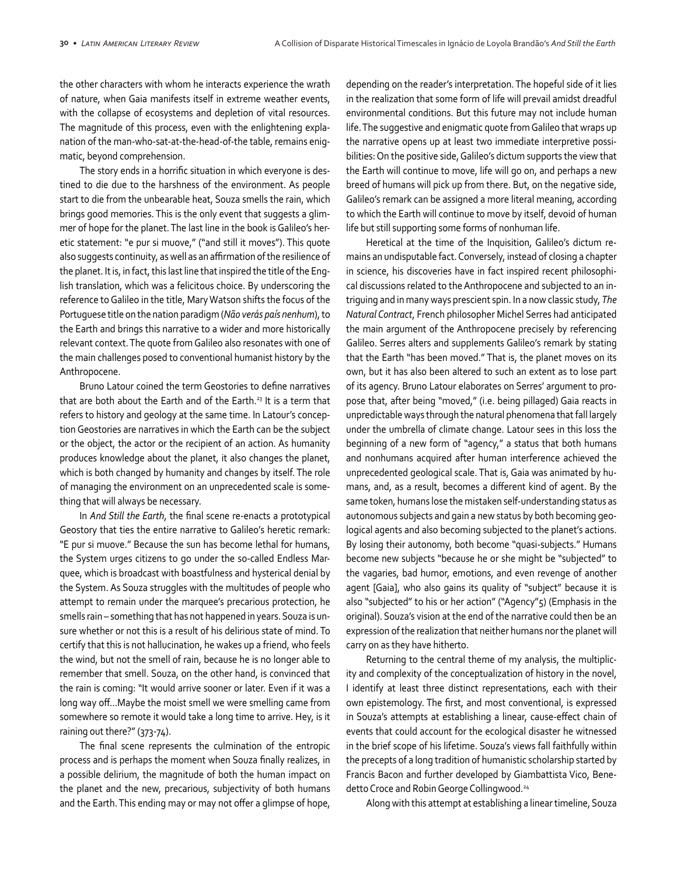the other characters with whom he interacts experience the wrath of nature, when Gaia manifests itself in extreme weather events, with the collapse of ecosystems and depletion of vital resources. The magnitude of this process, even with the enlightening expla‐ nation of the man-who-sat-at-the-head-of-the table, remains enig‐ matic, beyond comprehension.

The story ends in a horrific situation in which everyone is des‐ tined to die due to the harshness of the environment. As people start to die from the unbearable heat, Souza smells the rain, which brings good memories. This is the only event that suggests a glim‐ mer of hope for the planet. The last line in the book is Galileo's her‐ etic statement: "e pur si muove," ("and still it moves"). This quote also suggests continuity, as well as an affirmation of the resilience of the planet. It is, in fact, this last line that inspired the title of the Eng‐ lish translation, which was a felicitous choice. By underscoring the reference to Galileo in the title, Mary Watson shifts the focus of the Portuguese title on the nation paradigm (*Não verás país nenhum*), to the Earth and brings this narrative to a wider and more historically relevant context. The quote from Galileo also resonates with one of the main challenges posed to conventional humanist history by the Anthropocene.

Bruno Latour coined the term Geostories to define narratives that are both about the Earth and of the Earth.<sup>23</sup> It is a term that refers to history and geology at the same time. In Latour's concep‐ tion Geostories are narratives in which the Earth can be the subject or the object, the actor or the recipient of an action. As humanity produces knowledge about the planet, it also changes the planet, which is both changed by humanity and changes by itself. The role of managing the environment on an unprecedented scale is some‐ thing that will always be necessary.

In *And Still the Earth*, the final scene re-enacts a prototypical Geostory that ties the entire narrative to Galileo's heretic remark: "E pur si muove." Because the sun has become lethal for humans, the System urges citizens to go under the so-called Endless Mar‐ quee, which is broadcast with boastfulness and hysterical denial by the System. As Souza struggles with the multitudes of people who attempt to remain under the marquee's precarious protection, he smells rain – something that has not happened in years. Souza is un‐ sure whether or not this is a result of his delirious state of mind. To certify that this is not hallucination, he wakes up a friend, who feels the wind, but not the smell of rain, because he is no longer able to remember that smell. Souza, on the other hand, is convinced that the rain is coming: "It would arrive sooner or later. Even if it was a long way off…Maybe the moist smell we were smelling came from somewhere so remote it would take a long time to arrive. Hey, is it raining out there?" (373-74).

The final scene represents the culmination of the entropic process and is perhaps the moment when Souza finally realizes, in a possible delirium, the magnitude of both the human impact on the planet and the new, precarious, subjectivity of both humans and the Earth. This ending may or may not offer a glimpse of hope,

depending on the reader's interpretation. The hopeful side of it lies in the realization that some form of life will prevail amidst dreadful environmental conditions. But this future may not include human life. The suggestive and enigmatic quote from Galileo that wraps up the narrative opens up at least two immediate interpretive possi‐ bilities: On the positive side, Galileo's dictum supports the view that the Earth will continue to move, life will go on, and perhaps a new breed of humans will pick up from there. But, on the negative side, Galileo's remark can be assigned a more literal meaning, according to which the Earth will continue to move by itself, devoid of human life but still supporting some forms of nonhuman life.

Heretical at the time of the Inquisition, Galileo's dictum re‐ mains an undisputable fact. Conversely, instead of closing a chapter in science, his discoveries have in fact inspired recent philosophi‐ cal discussions related to the Anthropocene and subjected to an in‐ triguing and in many ways prescient spin. In a now classic study, *The Natural Contract*, French philosopher Michel Serres had anticipated the main argument of the Anthropocene precisely by referencing Galileo. Serres alters and supplements Galileo's remark by stating that the Earth "has been moved." That is, the planet moves on its own, but it has also been altered to such an extent as to lose part of its agency. Bruno Latour elaborates on Serres' argument to pro‐ pose that, after being "moved," (i.e. being pillaged) Gaia reacts in unpredictable ways through the natural phenomena that fall largely under the umbrella of climate change. Latour sees in this loss the beginning of a new form of "agency," a status that both humans and nonhumans acquired after human interference achieved the unprecedented geological scale. That is, Gaia was animated by humans, and, as a result, becomes a different kind of agent. By the same token, humans lose the mistaken self-understanding status as autonomous subjects and gain a new status by both becoming geo‐ logical agents and also becoming subjected to the planet's actions. By losing their autonomy, both become "quasi-subjects." Humans become new subjects "because he or she might be "subjected" to the vagaries, bad humor, emotions, and even revenge of another agent [Gaia], who also gains its quality of "subject" because it is also "subjected" to his or her action" ("Agency"5) (Emphasis in the original). Souza's vision at the end of the narrative could then be an expression of the realization that neither humans nor the planet will carry on as they have hitherto.

Returning to the central theme of my analysis, the multiplic‐ ity and complexity of the conceptualization of history in the novel, I identify at least three distinct representations, each with their own epistemology. The first, and most conventional, is expressed in Souza's attempts at establishing a linear, cause-effect chain of events that could account for the ecological disaster he witnessed in the brief scope of his lifetime. Souza's views fall faithfully within the precepts of a long tradition of humanistic scholarship started by Francis Bacon and further developed by Giambattista Vico, Bene‐ detto Croce and Robin George Collingwood.24

Along with this attempt at establishing a linear timeline, Souza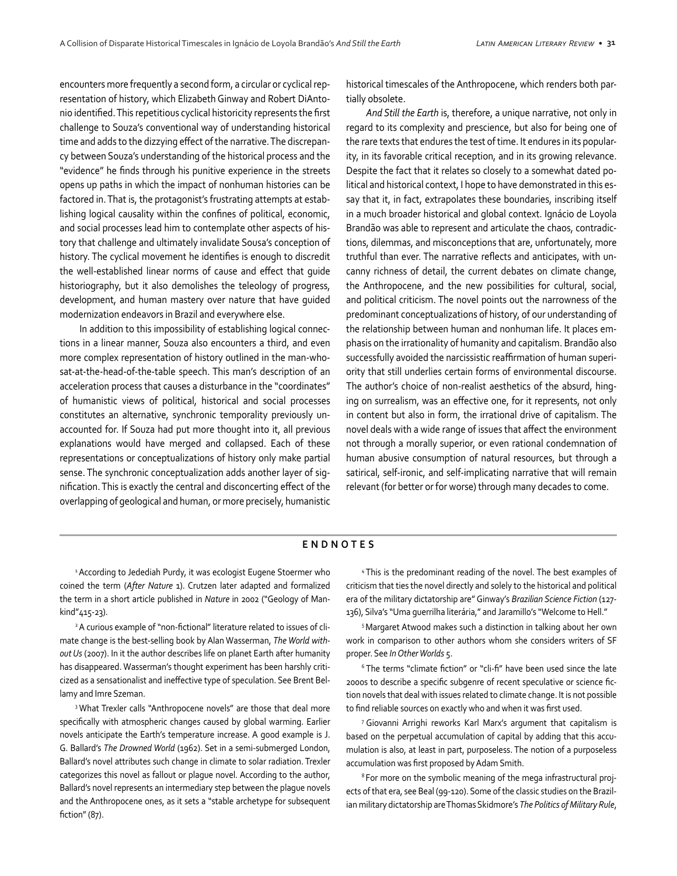encounters more frequently a second form, a circular or cyclical rep‐ resentation of history, which Elizabeth Ginway and Robert DiAnto‐ nio identified. This repetitious cyclical historicity represents the first challenge to Souza's conventional way of understanding historical time and adds to the dizzying effect of the narrative. The discrepan‐ cy between Souza's understanding of the historical process and the "evidence" he finds through his punitive experience in the streets opens up paths in which the impact of nonhuman histories can be factored in. That is, the protagonist's frustrating attempts at establishing logical causality within the confines of political, economic, and social processes lead him to contemplate other aspects of his‐ tory that challenge and ultimately invalidate Sousa's conception of history. The cyclical movement he identifies is enough to discredit the well-established linear norms of cause and effect that guide historiography, but it also demolishes the teleology of progress, development, and human mastery over nature that have guided modernization endeavors in Brazil and everywhere else.

In addition to this impossibility of establishing logical connec‐ tions in a linear manner, Souza also encounters a third, and even more complex representation of history outlined in the man-whosat-at-the-head-of-the-table speech. This man's description of an acceleration process that causes a disturbance in the "coordinates" of humanistic views of political, historical and social processes constitutes an alternative, synchronic temporality previously un‐ accounted for. If Souza had put more thought into it, all previous explanations would have merged and collapsed. Each of these representations or conceptualizations of history only make partial sense. The synchronic conceptualization adds another layer of sig‐ nification. This is exactly the central and disconcerting effect of the overlapping of geological and human, or more precisely, humanistic

historical timescales of the Anthropocene, which renders both par‐ tially obsolete.

*And Still the Earth* is, therefore, a unique narrative, not only in regard to its complexity and prescience, but also for being one of the rare texts that endures the test of time. It endures in its popular‐ ity, in its favorable critical reception, and in its growing relevance. Despite the fact that it relates so closely to a somewhat dated po‐ litical and historical context, I hope to have demonstrated in this es‐ say that it, in fact, extrapolates these boundaries, inscribing itself in a much broader historical and global context. Ignácio de Loyola Brandão was able to represent and articulate the chaos, contradic‐ tions, dilemmas, and misconceptions that are, unfortunately, more truthful than ever. The narrative reflects and anticipates, with un‐ canny richness of detail, the current debates on climate change, the Anthropocene, and the new possibilities for cultural, social, and political criticism. The novel points out the narrowness of the predominant conceptualizations of history, of our understanding of the relationship between human and nonhuman life. It places em‐ phasis on the irrationality of humanity and capitalism. Brandão also successfully avoided the narcissistic reaffirmation of human superi‐ ority that still underlies certain forms of environmental discourse. The author's choice of non-realist aesthetics of the absurd, hing‐ ing on surrealism, was an effective one, for it represents, not only in content but also in form, the irrational drive of capitalism. The novel deals with a wide range of issues that affect the environment not through a morally superior, or even rational condemnation of human abusive consumption of natural resources, but through a satirical, self-ironic, and self-implicating narrative that will remain relevant (for better or for worse) through many decades to come.

### **ENDNOTES**

<sup>1</sup> According to Jedediah Purdy, it was ecologist Eugene Stoermer who coined the term (*After Nature* 1). Crutzen later adapted and formalized the term in a short article published in *Nature* in 2002 ("Geology of Man‐ kind"415-23).

<sup>2</sup> A curious example of "non-fictional" literature related to issues of climate change is the best-selling book by Alan Wasserman, *The World without Us* (2007). In it the author describes life on planet Earth after humanity has disappeared. Wasserman's thought experiment has been harshly criticized as a sensationalist and ineffective type of speculation. See Brent Bel‐ lamy and Imre Szeman.

<sup>3</sup> What Trexler calls "Anthropocene novels" are those that deal more specifically with atmospheric changes caused by global warming. Earlier novels anticipate the Earth's temperature increase. A good example is J. G. Ballard's *The Drowned World* (1962). Set in a semi-submerged London, Ballard's novel attributes such change in climate to solar radiation. Trexler categorizes this novel as fallout or plague novel. According to the author, Ballard's novel represents an intermediary step between the plague novels and the Anthropocene ones, as it sets a "stable archetype for subsequent fiction" (87).

4 This is the predominant reading of the novel. The best examples of criticism that ties the novel directly and solely to the historical and political era of the military dictatorship are" Ginway's *Brazilian Science Fiction* (127-136), Silva's "Uma guerrilha literária," and Jaramillo's "Welcome to Hell."

5 Margaret Atwood makes such a distinction in talking about her own work in comparison to other authors whom she considers writers of SF proper. See *In Other Worlds* 5.

<sup>6</sup>The terms "climate fiction" or "cli-fi" have been used since the late 2000s to describe a specific subgenre of recent speculative or science fic‐ tion novels that deal with issues related to climate change. It is not possible to find reliable sources on exactly who and when it was first used.

7 Giovanni Arrighi reworks Karl Marx's argument that capitalism is based on the perpetual accumulation of capital by adding that this accumulation is also, at least in part, purposeless. The notion of a purposeless accumulation was first proposed by Adam Smith.

<sup>8</sup> For more on the symbolic meaning of the mega infrastructural projects of that era, see Beal (99-120). Some of the classic studies on the Brazil‐ ian military dictatorship are Thomas Skidmore's *The Politics of Military Rule*,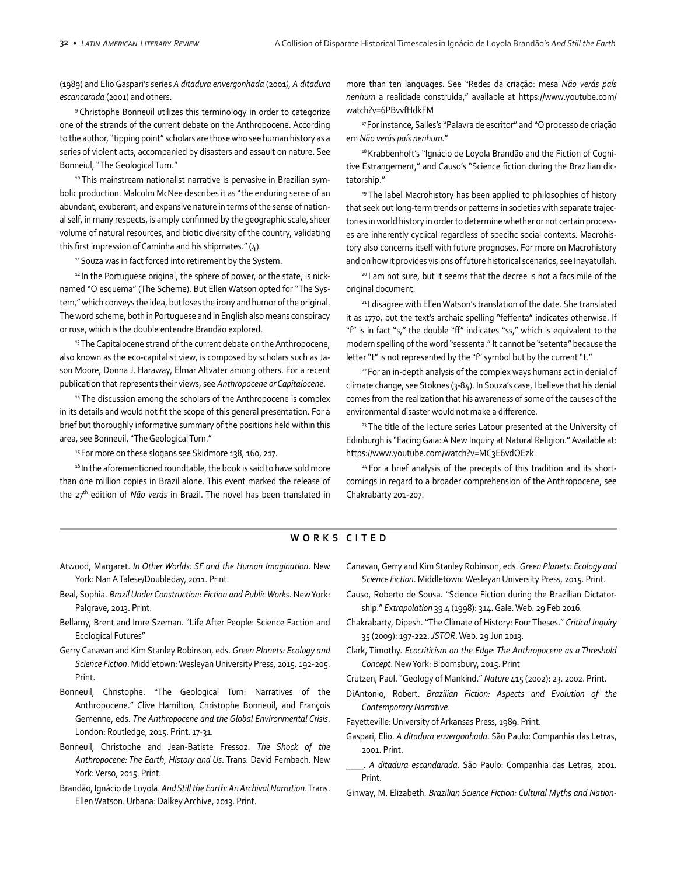(1989) and Elio Gaspari's series *A ditadura envergonhada* (2001*), A ditadura escancarada* (2001) and others.

9 Christophe Bonneuil utilizes this terminology in order to categorize one of the strands of the current debate on the Anthropocene. According to the author, "tipping point" scholars are those who see human history as a series of violent acts, accompanied by disasters and assault on nature. See Bonneiul, "The Geological Turn."

10 This mainstream nationalist narrative is pervasive in Brazilian symbolic production. Malcolm McNee describes it as "the enduring sense of an abundant, exuberant, and expansive nature in terms of the sense of national self, in many respects, is amply confirmed by the geographic scale, sheer volume of natural resources, and biotic diversity of the country, validating this first impression of Caminha and his shipmates." (4).

<sup>11</sup> Souza was in fact forced into retirement by the System.

<sup>12</sup> In the Portuguese original, the sphere of power, or the state, is nicknamed "O esquema" (The Scheme). But Ellen Watson opted for "The Sys‐ tem," which conveys the idea, but loses the irony and humor of the original. The word scheme, both in Portuguese and in English also means conspiracy or ruse, which is the double entendre Brandão explored.

<sup>13</sup> The Capitalocene strand of the current debate on the Anthropocene, also known as the eco-capitalist view, is composed by scholars such as Jason Moore, Donna J. Haraway, Elmar Altvater among others. For a recent publication that represents their views, see *Anthropocene or Capitalocene*.

<sup>14</sup> The discussion among the scholars of the Anthropocene is complex in its details and would not fit the scope of this general presentation. For a brief but thoroughly informative summary of the positions held within this area, see Bonneuil, "The Geological Turn."

<sup>15</sup> For more on these slogans see Skidmore 138, 160, 217.

<sup>16</sup> In the aforementioned roundtable, the book is said to have sold more than one million copies in Brazil alone. This event marked the release of the 27th edition of *Não verás* in Brazil. The novel has been translated in more than ten languages. See "Redes da criação: mesa *Não verás país nenhum* a realidade construída," available at https://www.youtube.com/ watch?v=6PBvvfHdkFM

<sup>17</sup> For instance, Salles's "Palavra de escritor" and "O processo de criação em *Não verás país nenhum.*"

<sup>18</sup> Krabbenhoft's "Ignácio de Loyola Brandão and the Fiction of Cognitive Estrangement," and Causo's "Science fiction during the Brazilian dic‐ tatorship."

<sup>19</sup> The label Macrohistory has been applied to philosophies of history that seek out long-term trends or patterns in societies with separate trajec‐ tories in world history in order to determine whether or not certain process‐ es are inherently cyclical regardless of specific social contexts. Macrohis‐ tory also concerns itself with future prognoses. For more on Macrohistory and on how it provides visions of future historical scenarios, see Inayatullah.

<sup>20</sup> I am not sure, but it seems that the decree is not a facsimile of the original document.

<sup>21</sup> I disagree with Ellen Watson's translation of the date. She translated it as 1770, but the text's archaic spelling "feffenta" indicates otherwise. If "f" is in fact "s," the double "ff" indicates "ss," which is equivalent to the modern spelling of the word "sessenta." It cannot be "setenta" because the letter "t" is not represented by the "f" symbol but by the current "t."

<sup>22</sup> For an in-depth analysis of the complex ways humans act in denial of climate change, see Stoknes (3-84). In Souza's case, I believe that his denial comes from the realization that his awareness of some of the causes of the environmental disaster would not make a difference.

<sup>23</sup> The title of the lecture series Latour presented at the University of Edinburgh is "Facing Gaia: A New Inquiry at Natural Religion." Available at: https://www.youtube.com/watch?v=MC3E6vdQEzk

<sup>24</sup> For a brief analysis of the precepts of this tradition and its shortcomings in regard to a broader comprehension of the Anthropocene, see Chakrabarty 201-207.

## **WORKS CITED**

- Atwood, Margaret. *In Other Worlds: SF and the Human Imagination*. New York: Nan A Talese/Doubleday, 2011. Print.
- Beal, Sophia. *Brazil Under Construction: Fiction and Public Works*. New York: Palgrave, 2013. Print.
- Bellamy, Brent and Imre Szeman. "Life After People: Science Faction and Ecological Futures"
- Gerry Canavan and Kim Stanley Robinson, eds. *Green Planets: Ecology and Science Fiction*. Middletown: Wesleyan University Press, 2015. 192-205. Print.
- Bonneuil, Christophe. "The Geological Turn: Narratives of the Anthropocene." Clive Hamilton, Christophe Bonneuil, and François Gemenne, eds. *The Anthropocene and the Global Environmental Crisis*. London: Routledge, 2015. Print. 17-31.
- Bonneuil, Christophe and Jean-Batiste Fressoz. *The Shock of the Anthropocene: The Earth, History and Us*. Trans. David Fernbach. New York: Verso, 2015. Print.
- Brandão, Ignácio de Loyola. *And Still the Earth: An Archival Narration*. Trans. Ellen Watson. Urbana: Dalkey Archive, 2013. Print.

Canavan, Gerry and Kim Stanley Robinson, eds. *Green Planets: Ecology and Science Fiction*. Middletown: Wesleyan University Press, 2015. Print.

- Causo, Roberto de Sousa. "Science Fiction during the Brazilian Dictator‐ ship." *Extrapolation* 39.4 (1998): 314. Gale. Web. 29 Feb 2016.
- Chakrabarty, Dipesh. "The Climate of History: Four Theses." *Critical Inquiry* 35 (2009): 197-222. *JSTOR*. Web. 29 Jun 2013.
- Clark, Timothy. *Ecocriticism on the Edge*: *The Anthropocene as a Threshold Concept*. New York: Bloomsbury, 2015. Print
- Crutzen, Paul. "Geology of Mankind." *Nature* 415 (2002): 23. 2002. Print.
- DiAntonio, Robert. *Brazilian Fiction: Aspects and Evolution of the Contemporary Narrative*.
- Fayetteville: University of Arkansas Press, 1989. Print.
- Gaspari, Elio. *A ditadura envergonhada*. São Paulo: Companhia das Letras, 2001. Print.
- \_\_\_\_. *A ditadura escandarada*. São Paulo: Companhia das Letras, 2001. Print.
- Ginway, M. Elizabeth. *Brazilian Science Fiction: Cultural Myths and Nation-*